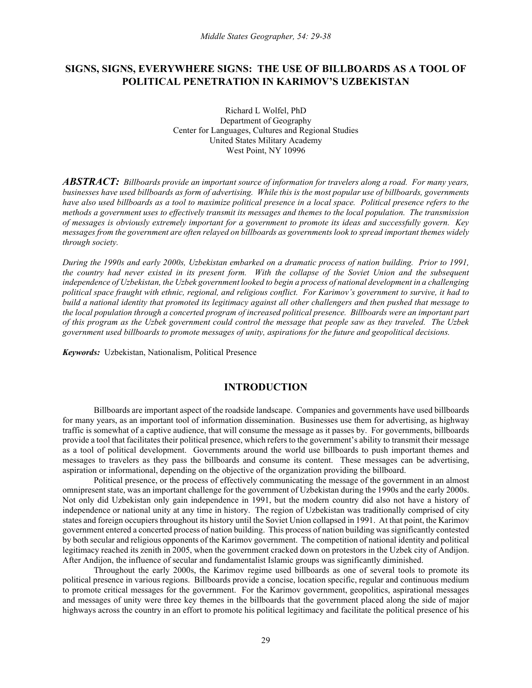# **SIGNS, SIGNS, EVERYWHERE SIGNS: THE USE OF BILLBOARDS AS A TOOL OF POLITICAL PENETRATION IN KARIMOV'S UZBEKISTAN**

Richard L Wolfel, PhD Department of Geography Center for Languages, Cultures and Regional Studies United States Military Academy West Point, NY 10996

*ABSTRACT: Billboards provide an important source of information for travelers along a road. For many years, businesses have used billboards as form of advertising. While this is the most popular use of billboards, governments have also used billboards as a tool to maximize political presence in a local space. Political presence refers to the methods a government uses to effectively transmit its messages and themes to the local population. The transmission of messages is obviously extremely important for a government to promote its ideas and successfully govern. Key messages from the government are often relayed on billboards as governments look to spread important themes widely through society.* 

*During the 1990s and early 2000s, Uzbekistan embarked on a dramatic process of nation building. Prior to 1991, the country had never existed in its present form. With the collapse of the Soviet Union and the subsequent independence of Uzbekistan, the Uzbek government looked to begin a process of national development in a challenging political space fraught with ethnic, regional, and religious conflict. For Karimov's government to survive, it had to build a national identity that promoted its legitimacy against all other challengers and then pushed that message to the local population through a concerted program of increased political presence. Billboards were an important part of this program as the Uzbek government could control the message that people saw as they traveled. The Uzbek government used billboards to promote messages of unity, aspirations for the future and geopolitical decisions.* 

*Keywords:* Uzbekistan, Nationalism, Political Presence

# **INTRODUCTION**

Billboards are important aspect of the roadside landscape. Companies and governments have used billboards for many years, as an important tool of information dissemination. Businesses use them for advertising, as highway traffic is somewhat of a captive audience, that will consume the message as it passes by. For governments, billboards provide a tool that facilitates their political presence, which refers to the government's ability to transmit their message as a tool of political development. Governments around the world use billboards to push important themes and messages to travelers as they pass the billboards and consume its content. These messages can be advertising, aspiration or informational, depending on the objective of the organization providing the billboard.

Political presence, or the process of effectively communicating the message of the government in an almost omnipresent state, was an important challenge for the government of Uzbekistan during the 1990s and the early 2000s. Not only did Uzbekistan only gain independence in 1991, but the modern country did also not have a history of independence or national unity at any time in history. The region of Uzbekistan was traditionally comprised of city states and foreign occupiers throughout its history until the Soviet Union collapsed in 1991. At that point, the Karimov government entered a concerted process of nation building. This process of nation building was significantly contested by both secular and religious opponents of the Karimov government. The competition of national identity and political legitimacy reached its zenith in 2005, when the government cracked down on protestors in the Uzbek city of Andijon. After Andijon, the influence of secular and fundamentalist Islamic groups was significantly diminished.

Throughout the early 2000s, the Karimov regime used billboards as one of several tools to promote its political presence in various regions. Billboards provide a concise, location specific, regular and continuous medium to promote critical messages for the government. For the Karimov government, geopolitics, aspirational messages and messages of unity were three key themes in the billboards that the government placed along the side of major highways across the country in an effort to promote his political legitimacy and facilitate the political presence of his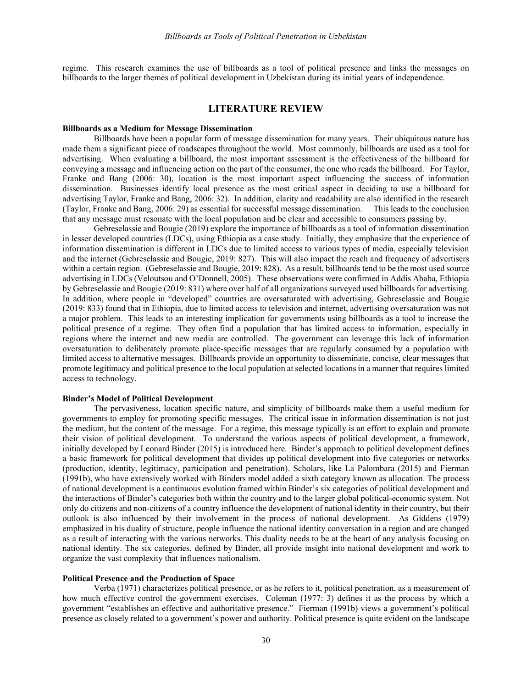regime. This research examines the use of billboards as a tool of political presence and links the messages on billboards to the larger themes of political development in Uzbekistan during its initial years of independence.

#### **LITERATURE REVIEW**

### **Billboards as a Medium for Message Dissemination**

Billboards have been a popular form of message dissemination for many years. Their ubiquitous nature has made them a significant piece of roadscapes throughout the world. Most commonly, billboards are used as a tool for advertising. When evaluating a billboard, the most important assessment is the effectiveness of the billboard for conveying a message and influencing action on the part of the consumer, the one who reads the billboard. For Taylor, Franke and Bang (2006: 30), location is the most important aspect influencing the success of information dissemination. Businesses identify local presence as the most critical aspect in deciding to use a billboard for advertising Taylor, Franke and Bang, 2006: 32). In addition, clarity and readability are also identified in the research (Taylor, Franke and Bang, 2006: 29) as essential for successful message dissemination. This leads to the conclusion that any message must resonate with the local population and be clear and accessible to consumers passing by.

Gebreselassie and Bougie (2019) explore the importance of billboards as a tool of information dissemination in lesser developed countries (LDCs), using Ethiopia as a case study. Initially, they emphasize that the experience of information dissemination is different in LDCs due to limited access to various types of media, especially television and the internet (Gebreselassie and Bougie, 2019: 827). This will also impact the reach and frequency of advertisers within a certain region. (Gebreselassie and Bougie, 2019: 828). As a result, billboards tend to be the most used source advertising in LDCs (Veloutsou and O'Donnell, 2005). These observations were confirmed in Addis Ababa, Ethiopia by Gebreselassie and Bougie (2019: 831) where over half of all organizations surveyed used billboards for advertising. In addition, where people in "developed" countries are oversaturated with advertising, Gebreselassie and Bougie (2019: 833) found that in Ethiopia, due to limited access to television and internet, advertising oversaturation was not a major problem. This leads to an interesting implication for governments using billboards as a tool to increase the political presence of a regime. They often find a population that has limited access to information, especially in regions where the internet and new media are controlled. The government can leverage this lack of information oversaturation to deliberately promote place-specific messages that are regularly consumed by a population with limited access to alternative messages. Billboards provide an opportunity to disseminate, concise, clear messages that promote legitimacy and political presence to the local population at selected locations in a manner that requires limited access to technology.

#### **Binder's Model of Political Development**

The pervasiveness, location specific nature, and simplicity of billboards make them a useful medium for governments to employ for promoting specific messages. The critical issue in information dissemination is not just the medium, but the content of the message. For a regime, this message typically is an effort to explain and promote their vision of political development. To understand the various aspects of political development, a framework, initially developed by Leonard Binder (2015) is introduced here. Binder's approach to political development defines a basic framework for political development that divides up political development into five categories or networks (production, identity, legitimacy, participation and penetration). Scholars, like La Palombara (2015) and Fierman (1991b), who have extensively worked with Binders model added a sixth category known as allocation. The process of national development is a continuous evolution framed within Binder's six categories of political development and the interactions of Binder's categories both within the country and to the larger global political-economic system. Not only do citizens and non-citizens of a country influence the development of national identity in their country, but their outlook is also influenced by their involvement in the process of national development. As Giddens (1979) emphasized in his duality of structure, people influence the national identity conversation in a region and are changed as a result of interacting with the various networks. This duality needs to be at the heart of any analysis focusing on national identity. The six categories, defined by Binder, all provide insight into national development and work to organize the vast complexity that influences nationalism.

### **Political Presence and the Production of Space**

Verba (1971) characterizes political presence, or as he refers to it, political penetration, as a measurement of how much effective control the government exercises. Coleman (1977: 3) defines it as the process by which a government "establishes an effective and authoritative presence." Fierman (1991b) views a government's political presence as closely related to a government's power and authority. Political presence is quite evident on the landscape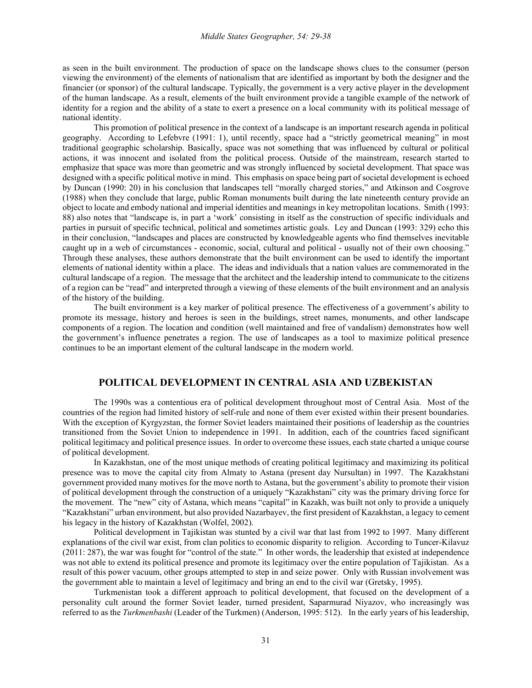as seen in the built environment. The production of space on the landscape shows clues to the consumer (person viewing the environment) of the elements of nationalism that are identified as important by both the designer and the financier (or sponsor) of the cultural landscape. Typically, the government is a very active player in the development of the human landscape. As a result, elements of the built environment provide a tangible example of the network of identity for a region and the ability of a state to exert a presence on a local community with its political message of national identity.

This promotion of political presence in the context of a landscape is an important research agenda in political geography. According to Lefebvre (1991: 1), until recently, space had a "strictly geometrical meaning" in most traditional geographic scholarship. Basically, space was not something that was influenced by cultural or political actions, it was innocent and isolated from the political process. Outside of the mainstream, research started to emphasize that space was more than geometric and was strongly influenced by societal development. That space was designed with a specific political motive in mind. This emphasis on space being part of societal development is echoed by Duncan (1990: 20) in his conclusion that landscapes tell "morally charged stories," and Atkinson and Cosgrove (1988) when they conclude that large, public Roman monuments built during the late nineteenth century provide an object to locate and embody national and imperial identities and meanings in key metropolitan locations. Smith (1993: 88) also notes that "landscape is, in part a 'work' consisting in itself as the construction of specific individuals and parties in pursuit of specific technical, political and sometimes artistic goals. Ley and Duncan (1993: 329) echo this in their conclusion, "landscapes and places are constructed by knowledgeable agents who find themselves inevitable caught up in a web of circumstances - economic, social, cultural and political - usually not of their own choosing." Through these analyses, these authors demonstrate that the built environment can be used to identify the important elements of national identity within a place. The ideas and individuals that a nation values are commemorated in the cultural landscape of a region. The message that the architect and the leadership intend to communicate to the citizens of a region can be "read" and interpreted through a viewing of these elements of the built environment and an analysis of the history of the building.

The built environment is a key marker of political presence. The effectiveness of a government's ability to promote its message, history and heroes is seen in the buildings, street names, monuments, and other landscape components of a region. The location and condition (well maintained and free of vandalism) demonstrates how well the government's influence penetrates a region. The use of landscapes as a tool to maximize political presence continues to be an important element of the cultural landscape in the modern world.

# **POLITICAL DEVELOPMENT IN CENTRAL ASIA AND UZBEKISTAN**

The 1990s was a contentious era of political development throughout most of Central Asia. Most of the countries of the region had limited history of self-rule and none of them ever existed within their present boundaries. With the exception of Kyrgyzstan, the former Soviet leaders maintained their positions of leadership as the countries transitioned from the Soviet Union to independence in 1991. In addition, each of the countries faced significant political legitimacy and political presence issues. In order to overcome these issues, each state charted a unique course of political development.

In Kazakhstan, one of the most unique methods of creating political legitimacy and maximizing its political presence was to move the capital city from Almaty to Astana (present day Nursultan) in 1997. The Kazakhstani government provided many motives for the move north to Astana, but the government's ability to promote their vision of political development through the construction of a uniquely "Kazakhstani" city was the primary driving force for the movement. The "new" city of Astana, which means "capital" in Kazakh, was built not only to provide a uniquely "Kazakhstani" urban environment, but also provided Nazarbayev, the first president of Kazakhstan, a legacy to cement his legacy in the history of Kazakhstan (Wolfel, 2002).

Political development in Tajikistan was stunted by a civil war that last from 1992 to 1997. Many different explanations of the civil war exist, from clan politics to economic disparity to religion. According to Tuncer-Kilavuz (2011: 287), the war was fought for "control of the state." In other words, the leadership that existed at independence was not able to extend its political presence and promote its legitimacy over the entire population of Tajikistan. As a result of this power vacuum, other groups attempted to step in and seize power. Only with Russian involvement was the government able to maintain a level of legitimacy and bring an end to the civil war (Gretsky, 1995).

Turkmenistan took a different approach to political development, that focused on the development of a personality cult around the former Soviet leader, turned president, Saparmurad Niyazov, who increasingly was referred to as the *Turkmenbashi* (Leader of the Turkmen) (Anderson, 1995: 512). In the early years of his leadership,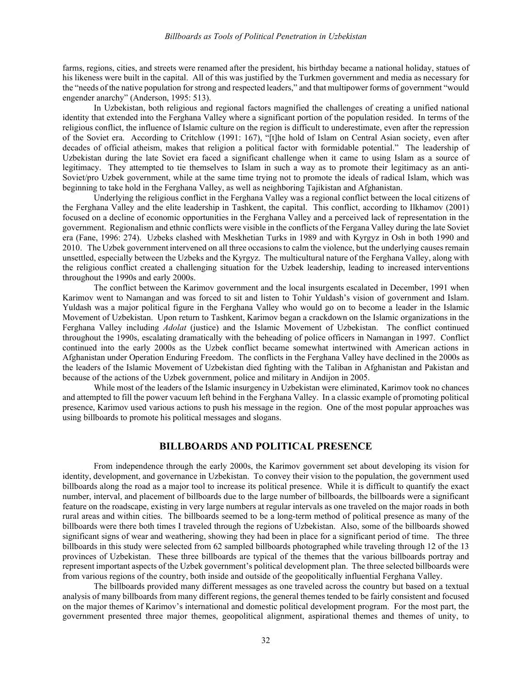farms, regions, cities, and streets were renamed after the president, his birthday became a national holiday, statues of his likeness were built in the capital. All of this was justified by the Turkmen government and media as necessary for the "needs of the native population for strong and respected leaders," and that multipower forms of government "would engender anarchy" (Anderson, 1995: 513).

In Uzbekistan, both religious and regional factors magnified the challenges of creating a unified national identity that extended into the Ferghana Valley where a significant portion of the population resided. In terms of the religious conflict, the influence of Islamic culture on the region is difficult to underestimate, even after the repression of the Soviet era. According to Critchlow (1991: 167), "[t]he hold of Islam on Central Asian society, even after decades of official atheism, makes that religion a political factor with formidable potential." The leadership of Uzbekistan during the late Soviet era faced a significant challenge when it came to using Islam as a source of legitimacy. They attempted to tie themselves to Islam in such a way as to promote their legitimacy as an anti-Soviet/pro Uzbek government, while at the same time trying not to promote the ideals of radical Islam, which was beginning to take hold in the Ferghana Valley, as well as neighboring Tajikistan and Afghanistan.

Underlying the religious conflict in the Ferghana Valley was a regional conflict between the local citizens of the Ferghana Valley and the elite leadership in Tashkent, the capital. This conflict, according to Ilkhamov (2001) focused on a decline of economic opportunities in the Ferghana Valley and a perceived lack of representation in the government. Regionalism and ethnic conflicts were visible in the conflicts of the Fergana Valley during the late Soviet era (Fane, 1996: 274). Uzbeks clashed with Meskhetian Turks in 1989 and with Kyrgyz in Osh in both 1990 and 2010. The Uzbek government intervened on all three occasions to calm the violence, but the underlying causes remain unsettled, especially between the Uzbeks and the Kyrgyz. The multicultural nature of the Ferghana Valley, along with the religious conflict created a challenging situation for the Uzbek leadership, leading to increased interventions throughout the 1990s and early 2000s.

The conflict between the Karimov government and the local insurgents escalated in December, 1991 when Karimov went to Namangan and was forced to sit and listen to Tohir Yuldash's vision of government and Islam. Yuldash was a major political figure in the Ferghana Valley who would go on to become a leader in the Islamic Movement of Uzbekistan. Upon return to Tashkent, Karimov began a crackdown on the Islamic organizations in the Ferghana Valley including *Adolat* (justice) and the Islamic Movement of Uzbekistan. The conflict continued throughout the 1990s, escalating dramatically with the beheading of police officers in Namangan in 1997. Conflict continued into the early 2000s as the Uzbek conflict became somewhat intertwined with American actions in Afghanistan under Operation Enduring Freedom. The conflicts in the Ferghana Valley have declined in the 2000s as the leaders of the Islamic Movement of Uzbekistan died fighting with the Taliban in Afghanistan and Pakistan and because of the actions of the Uzbek government, police and military in Andijon in 2005.

While most of the leaders of the Islamic insurgency in Uzbekistan were eliminated, Karimov took no chances and attempted to fill the power vacuum left behind in the Ferghana Valley. In a classic example of promoting political presence, Karimov used various actions to push his message in the region. One of the most popular approaches was using billboards to promote his political messages and slogans.

## **BILLBOARDS AND POLITICAL PRESENCE**

From independence through the early 2000s, the Karimov government set about developing its vision for identity, development, and governance in Uzbekistan. To convey their vision to the population, the government used billboards along the road as a major tool to increase its political presence. While it is difficult to quantify the exact number, interval, and placement of billboards due to the large number of billboards, the billboards were a significant feature on the roadscape, existing in very large numbers at regular intervals as one traveled on the major roads in both rural areas and within cities. The billboards seemed to be a long-term method of political presence as many of the billboards were there both times I traveled through the regions of Uzbekistan. Also, some of the billboards showed significant signs of wear and weathering, showing they had been in place for a significant period of time. The three billboards in this study were selected from 62 sampled billboards photographed while traveling through 12 of the 13 provinces of Uzbekistan. These three billboards are typical of the themes that the various billboards portray and represent important aspects of the Uzbek government's political development plan. The three selected billboards were from various regions of the country, both inside and outside of the geopolitically influential Ferghana Valley.

The billboards provided many different messages as one traveled across the country but based on a textual analysis of many billboards from many different regions, the general themes tended to be fairly consistent and focused on the major themes of Karimov's international and domestic political development program. For the most part, the government presented three major themes, geopolitical alignment, aspirational themes and themes of unity, to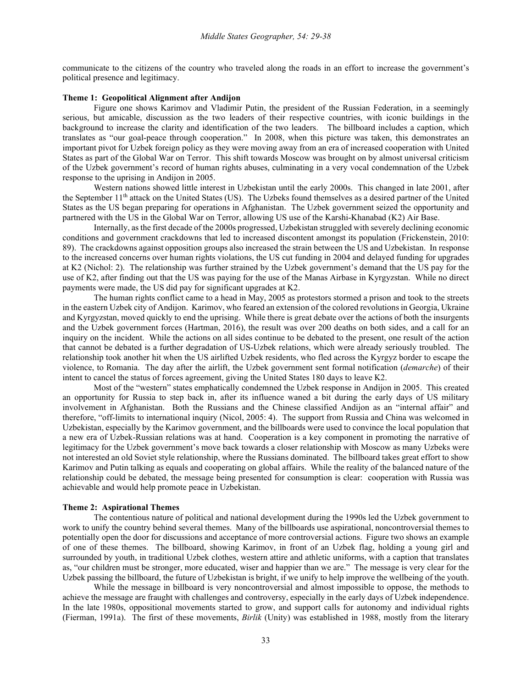communicate to the citizens of the country who traveled along the roads in an effort to increase the government's political presence and legitimacy.

## **Theme 1: Geopolitical Alignment after Andijon**

Figure one shows Karimov and Vladimir Putin, the president of the Russian Federation, in a seemingly serious, but amicable, discussion as the two leaders of their respective countries, with iconic buildings in the background to increase the clarity and identification of the two leaders. The billboard includes a caption, which translates as "our goal-peace through cooperation." In 2008, when this picture was taken, this demonstrates an important pivot for Uzbek foreign policy as they were moving away from an era of increased cooperation with United States as part of the Global War on Terror. This shift towards Moscow was brought on by almost universal criticism of the Uzbek government's record of human rights abuses, culminating in a very vocal condemnation of the Uzbek response to the uprising in Andijon in 2005.

Western nations showed little interest in Uzbekistan until the early 2000s. This changed in late 2001, after the September 11<sup>th</sup> attack on the United States (US). The Uzbeks found themselves as a desired partner of the United States as the US began preparing for operations in Afghanistan. The Uzbek government seized the opportunity and partnered with the US in the Global War on Terror, allowing US use of the Karshi-Khanabad (K2) Air Base.

Internally, as the first decade of the 2000s progressed, Uzbekistan struggled with severely declining economic conditions and government crackdowns that led to increased discontent amongst its population (Frickenstein, 2010: 89). The crackdowns against opposition groups also increased the strain between the US and Uzbekistan. In response to the increased concerns over human rights violations, the US cut funding in 2004 and delayed funding for upgrades at K2 (Nichol: 2). The relationship was further strained by the Uzbek government's demand that the US pay for the use of K2, after finding out that the US was paying for the use of the Manas Airbase in Kyrgyzstan. While no direct payments were made, the US did pay for significant upgrades at K2.

The human rights conflict came to a head in May, 2005 as protestors stormed a prison and took to the streets in the eastern Uzbek city of Andijon. Karimov, who feared an extension of the colored revolutions in Georgia, Ukraine and Kyrgyzstan, moved quickly to end the uprising. While there is great debate over the actions of both the insurgents and the Uzbek government forces (Hartman, 2016), the result was over 200 deaths on both sides, and a call for an inquiry on the incident. While the actions on all sides continue to be debated to the present, one result of the action that cannot be debated is a further degradation of US-Uzbek relations, which were already seriously troubled. The relationship took another hit when the US airlifted Uzbek residents, who fled across the Kyrgyz border to escape the violence, to Romania. The day after the airlift, the Uzbek government sent formal notification (*demarche*) of their intent to cancel the status of forces agreement, giving the United States 180 days to leave K2.

Most of the "western" states emphatically condemned the Uzbek response in Andijon in 2005. This created an opportunity for Russia to step back in, after its influence waned a bit during the early days of US military involvement in Afghanistan. Both the Russians and the Chinese classified Andijon as an "internal affair" and therefore, "off-limits to international inquiry (Nicol, 2005: 4). The support from Russia and China was welcomed in Uzbekistan, especially by the Karimov government, and the billboards were used to convince the local population that a new era of Uzbek-Russian relations was at hand. Cooperation is a key component in promoting the narrative of legitimacy for the Uzbek government's move back towards a closer relationship with Moscow as many Uzbeks were not interested an old Soviet style relationship, where the Russians dominated. The billboard takes great effort to show Karimov and Putin talking as equals and cooperating on global affairs. While the reality of the balanced nature of the relationship could be debated, the message being presented for consumption is clear: cooperation with Russia was achievable and would help promote peace in Uzbekistan.

#### **Theme 2: Aspirational Themes**

The contentious nature of political and national development during the 1990s led the Uzbek government to work to unify the country behind several themes. Many of the billboards use aspirational, noncontroversial themes to potentially open the door for discussions and acceptance of more controversial actions. Figure two shows an example of one of these themes. The billboard, showing Karimov, in front of an Uzbek flag, holding a young girl and surrounded by youth, in traditional Uzbek clothes, western attire and athletic uniforms, with a caption that translates as, "our children must be stronger, more educated, wiser and happier than we are." The message is very clear for the Uzbek passing the billboard, the future of Uzbekistan is bright, if we unify to help improve the wellbeing of the youth.

While the message in billboard is very noncontroversial and almost impossible to oppose, the methods to achieve the message are fraught with challenges and controversy, especially in the early days of Uzbek independence. In the late 1980s, oppositional movements started to grow, and support calls for autonomy and individual rights (Fierman, 1991a). The first of these movements, *Birlik* (Unity) was established in 1988, mostly from the literary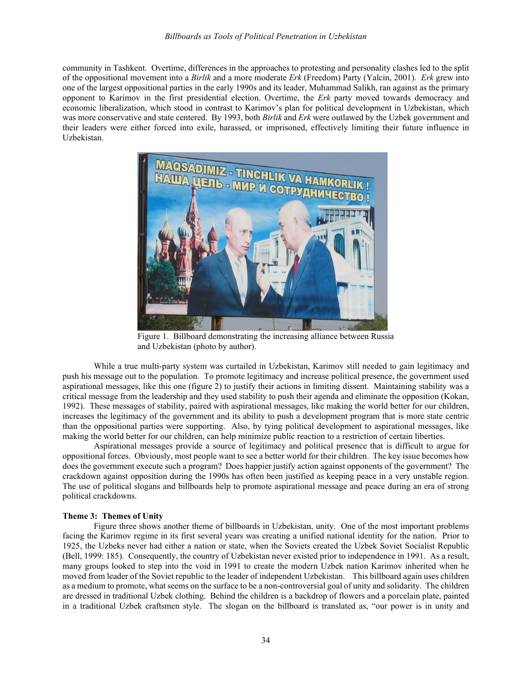community in Tashkent. Overtime, differences in the approaches to protesting and personality clashes led to the split of the oppositional movement into a *Birlik* and a more moderate *Erk* (Freedom) Party (Yalcin, 2001). *Erk* grew into one of the largest oppositional parties in the early 1990s and its leader, Muhammad Salikh, ran against as the primary opponent to Karimov in the first presidential election. Overtime, the *Erk* party moved towards democracy and economic liberalization, which stood in contrast to Karimov's plan for political development in Uzbekistan, which was more conservative and state centered. By 1993, both *Birlik* and *Erk* were outlawed by the Uzbek government and their leaders were either forced into exile, harassed, or imprisoned, effectively limiting their future influence in Uzbekistan.



Figure 1. Billboard demonstrating the increasing alliance between Russia and Uzbekistan (photo by author).

While a true multi-party system was curtailed in Uzbekistan, Karimov still needed to gain legitimacy and push his message out to the population. To promote legitimacy and increase political presence, the government used aspirational messages, like this one (figure 2) to justify their actions in limiting dissent. Maintaining stability was a critical message from the leadership and they used stability to push their agenda and eliminate the opposition (Kokan, 1992). These messages of stability, paired with aspirational messages, like making the world better for our children, increases the legitimacy of the government and its ability to push a development program that is more state centric than the oppositional parties were supporting. Also, by tying political development to aspirational messages, like making the world better for our children, can help minimize public reaction to a restriction of certain liberties.

Aspirational messages provide a source of legitimacy and political presence that is difficult to argue for oppositional forces. Obviously, most people want to see a better world for their children. The key issue becomes how does the government execute such a program? Does happier justify action against opponents of the government? The crackdown against opposition during the 1990s has often been justified as keeping peace in a very unstable region. The use of political slogans and billboards help to promote aspirational message and peace during an era of strong political crackdowns.

### **Theme 3: Themes of Unity**

Figure three shows another theme of billboards in Uzbekistan, unity. One of the most important problems facing the Karimov regime in its first several years was creating a unified national identity for the nation. Prior to 1925, the Uzbeks never had either a nation or state, when the Soviets created the Uzbek Soviet Socialist Republic (Bell, 1999: 185). Consequently, the country of Uzbekistan never existed prior to independence in 1991. As a result, many groups looked to step into the void in 1991 to create the modern Uzbek nation Karimov inherited when he moved from leader of the Soviet republic to the leader of independent Uzbekistan. This billboard again uses children as a medium to promote, what seems on the surface to be a non-controversial goal of unity and solidarity. The children are dressed in traditional Uzbek clothing. Behind the children is a backdrop of flowers and a porcelain plate, painted in a traditional Uzbek craftsmen style. The slogan on the billboard is translated as, "our power is in unity and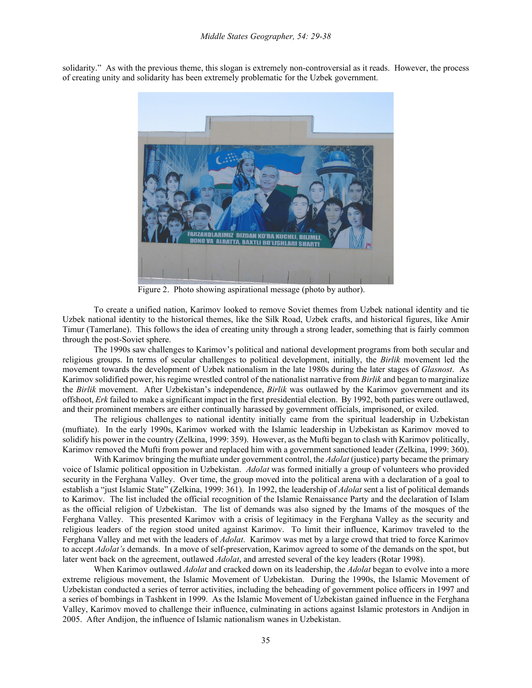ZANDLARIMIZ BIZDAN KO'RA KUCHLI, BILIMLI<br>No va Albatta, baxtli bo'lishlari sharti

solidarity." As with the previous theme, this slogan is extremely non-controversial as it reads. However, the process of creating unity and solidarity has been extremely problematic for the Uzbek government.

Figure 2. Photo showing aspirational message (photo by author).

To create a unified nation, Karimov looked to remove Soviet themes from Uzbek national identity and tie Uzbek national identity to the historical themes, like the Silk Road, Uzbek crafts, and historical figures, like Amir Timur (Tamerlane). This follows the idea of creating unity through a strong leader, something that is fairly common through the post-Soviet sphere.

The 1990s saw challenges to Karimov's political and national development programs from both secular and religious groups. In terms of secular challenges to political development, initially, the *Birlik* movement led the movement towards the development of Uzbek nationalism in the late 1980s during the later stages of *Glasnost*. As Karimov solidified power, his regime wrestled control of the nationalist narrative from *Birlik* and began to marginalize the *Birlik* movement. After Uzbekistan's independence, *Birlik* was outlawed by the Karimov government and its offshoot, *Erk* failed to make a significant impact in the first presidential election. By 1992, both parties were outlawed, and their prominent members are either continually harassed by government officials, imprisoned, or exiled.

The religious challenges to national identity initially came from the spiritual leadership in Uzbekistan (muftiate). In the early 1990s, Karimov worked with the Islamic leadership in Uzbekistan as Karimov moved to solidify his power in the country (Zelkina, 1999: 359). However, as the Mufti began to clash with Karimov politically, Karimov removed the Mufti from power and replaced him with a government sanctioned leader (Zelkina, 1999: 360).

With Karimov bringing the muftiate under government control, the *Adolat* (justice) party became the primary voice of Islamic political opposition in Uzbekistan. *Adolat* was formed initially a group of volunteers who provided security in the Ferghana Valley. Over time, the group moved into the political arena with a declaration of a goal to establish a "just Islamic State" (Zelkina, 1999: 361). In 1992, the leadership of *Adolat* sent a list of political demands to Karimov. The list included the official recognition of the Islamic Renaissance Party and the declaration of Islam as the official religion of Uzbekistan. The list of demands was also signed by the Imams of the mosques of the Ferghana Valley. This presented Karimov with a crisis of legitimacy in the Ferghana Valley as the security and religious leaders of the region stood united against Karimov. To limit their influence, Karimov traveled to the Ferghana Valley and met with the leaders of *Adolat*. Karimov was met by a large crowd that tried to force Karimov to accept *Adolat's* demands. In a move of self-preservation, Karimov agreed to some of the demands on the spot, but later went back on the agreement, outlawed *Adolat*, and arrested several of the key leaders (Rotar 1998).

When Karimov outlawed *Adolat* and cracked down on its leadership, the *Adolat* began to evolve into a more extreme religious movement, the Islamic Movement of Uzbekistan. During the 1990s, the Islamic Movement of Uzbekistan conducted a series of terror activities, including the beheading of government police officers in 1997 and a series of bombings in Tashkent in 1999. As the Islamic Movement of Uzbekistan gained influence in the Ferghana Valley, Karimov moved to challenge their influence, culminating in actions against Islamic protestors in Andijon in 2005. After Andijon, the influence of Islamic nationalism wanes in Uzbekistan.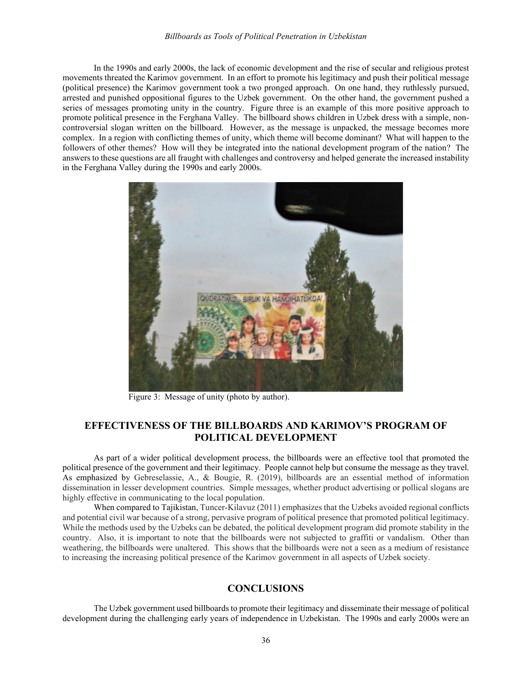In the 1990s and early 2000s, the lack of economic development and the rise of secular and religious protest movements threated the Karimov government. In an effort to promote his legitimacy and push their political message (political presence) the Karimov government took a two pronged approach. On one hand, they ruthlessly pursued, arrested and punished oppositional figures to the Uzbek government. On the other hand, the government pushed a series of messages promoting unity in the country. Figure three is an example of this more positive approach to promote political presence in the Ferghana Valley. The billboard shows children in Uzbek dress with a simple, noncontroversial slogan written on the billboard. However, as the message is unpacked, the message becomes more complex. In a region with conflicting themes of unity, which theme will become dominant? What will happen to the followers of other themes? How will they be integrated into the national development program of the nation? The answers to these questions are all fraught with challenges and controversy and helped generate the increased instability in the Ferghana Valley during the 1990s and early 2000s.



Figure 3: Message of unity (photo by author).

# **EFFECTIVENESS OF THE BILLBOARDS AND KARIMOV'S PROGRAM OF POLITICAL DEVELOPMENT**

As part of a wider political development process, the billboards were an effective tool that promoted the political presence of the government and their legitimacy. People cannot help but consume the message as they travel. As emphasized by Gebreselassie, A., & Bougie, R. (2019), billboards are an essential method of information dissemination in lesser development countries. Simple messages, whether product advertising or pollical slogans are highly effective in communicating to the local population.

When compared to Tajikistan, Tuncer-Kilavuz (2011) emphasizes that the Uzbeks avoided regional conflicts and potential civil war because of a strong, pervasive program of political presence that promoted political legitimacy. While the methods used by the Uzbeks can be debated, the political development program did promote stability in the country. Also, it is important to note that the billboards were not subjected to graffiti or vandalism. Other than weathering, the billboards were unaltered. This shows that the billboards were not a seen as a medium of resistance to increasing the increasing political presence of the Karimov government in all aspects of Uzbek society.

# **CONCLUSIONS**

The Uzbek government used billboards to promote their legitimacy and disseminate their message of political development during the challenging early years of independence in Uzbekistan. The 1990s and early 2000s were an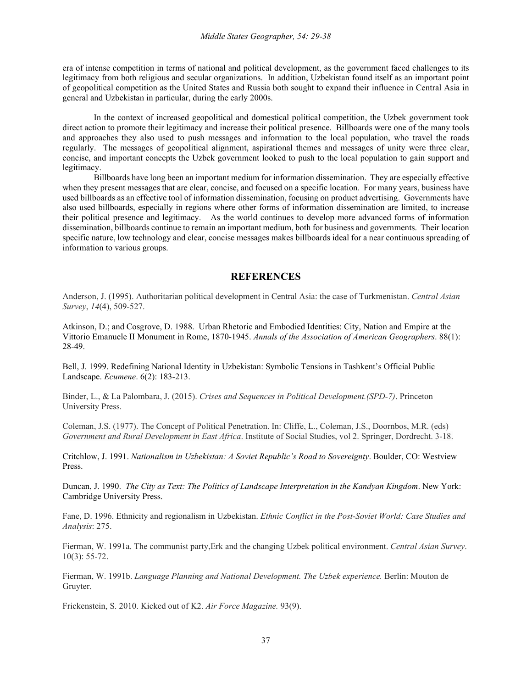era of intense competition in terms of national and political development, as the government faced challenges to its legitimacy from both religious and secular organizations. In addition, Uzbekistan found itself as an important point of geopolitical competition as the United States and Russia both sought to expand their influence in Central Asia in general and Uzbekistan in particular, during the early 2000s.

In the context of increased geopolitical and domestical political competition, the Uzbek government took direct action to promote their legitimacy and increase their political presence. Billboards were one of the many tools and approaches they also used to push messages and information to the local population, who travel the roads regularly. The messages of geopolitical alignment, aspirational themes and messages of unity were three clear, concise, and important concepts the Uzbek government looked to push to the local population to gain support and legitimacy.

Billboards have long been an important medium for information dissemination. They are especially effective when they present messages that are clear, concise, and focused on a specific location. For many years, business have used billboards as an effective tool of information dissemination, focusing on product advertising. Governments have also used billboards, especially in regions where other forms of information dissemination are limited, to increase their political presence and legitimacy. As the world continues to develop more advanced forms of information dissemination, billboards continue to remain an important medium, both for business and governments. Their location specific nature, low technology and clear, concise messages makes billboards ideal for a near continuous spreading of information to various groups.

## **REFERENCES**

Anderson, J. (1995). Authoritarian political development in Central Asia: the case of Turkmenistan. *Central Asian Survey*, *14*(4), 509-527.

Atkinson, D.; and Cosgrove, D. 1988. Urban Rhetoric and Embodied Identities: City, Nation and Empire at the Vittorio Emanuele II Monument in Rome, 1870-1945. *Annals of the Association of American Geographers*. 88(1): 28-49.

Bell, J. 1999. Redefining National Identity in Uzbekistan: Symbolic Tensions in Tashkent's Official Public Landscape. *Ecumene*. 6(2): 183-213.

Binder, L., & La Palombara, J. (2015). *Crises and Sequences in Political Development.(SPD-7)*. Princeton University Press.

Coleman, J.S. (1977). The Concept of Political Penetration. In: Cliffe, L., Coleman, J.S., Doornbos, M.R. (eds) *Government and Rural Development in East Africa*. Institute of Social Studies, vol 2. Springer, Dordrecht. 3-18.

Critchlow, J. 1991. *Nationalism in Uzbekistan: A Soviet Republic's Road to Sovereignty*. Boulder, CO: Westview Press.

Duncan, J. 1990. *The City as Text: The Politics of Landscape Interpretation in the Kandyan Kingdom*. New York: Cambridge University Press.

Fane, D. 1996. Ethnicity and regionalism in Uzbekistan. *Ethnic Conflict in the Post-Soviet World: Case Studies and Analysis*: 275.

Fierman, W. 1991a. The communist party,Erk and the changing Uzbek political environment. *Central Asian Survey*. 10(3): 55-72.

Fierman, W. 1991b. *Language Planning and National Development. The Uzbek experience.* Berlin: Mouton de Gruyter.

Frickenstein, S. 2010. Kicked out of K2. *Air Force Magazine.* 93(9).